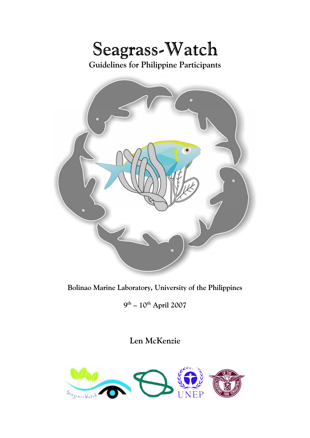Seagrass-Watch

**Guidelines for Philippine Participants** 



**Bolinao Marine Laboratory, University of the Philippines** 

**9th – 10th April 2007** 

**Len McKenzie** 

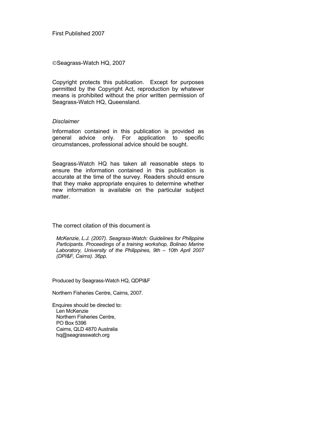#### ©Seagrass-Watch HQ, 2007

Copyright protects this publication. Except for purposes permitted by the Copyright Act, reproduction by whatever means is prohibited without the prior written permission of Seagrass-Watch HQ, Queensland.

#### *Disclaimer*

Information contained in this publication is provided as general advice only. For application to specific circumstances, professional advice should be sought.

Seagrass-Watch HQ has taken all reasonable steps to ensure the information contained in this publication is accurate at the time of the survey. Readers should ensure that they make appropriate enquires to determine whether new information is available on the particular subject matter.

The correct citation of this document is

*McKenzie, L.J. (2007). Seagrass-Watch: Guidelines for Philippine Participants. Proceedings of a training workshop, Bolinao Marine Laboratory, University of the Philippines, 9th – 10th April 2007 (DPI&F, Cairns). 36pp.* 

Produced by Seagrass-Watch HQ, QDPI&F

Northern Fisheries Centre, Cairns, 2007.

Enquires should be directed to: Len McKenzie Northern Fisheries Centre, PO Box 5396 Cairns, QLD 4870 Australia hq@seagrasswatch.org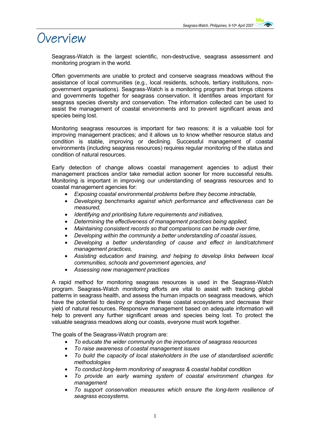# Overview

Seagrass-Watch is the largest scientific, non-destructive, seagrass assessment and monitoring program in the world.

Often governments are unable to protect and conserve seagrass meadows without the assistance of local communities (e.g., local residents, schools, tertiary institutions, nongovernment organisations). Seagrass-Watch is a monitoring program that brings citizens and governments together for seagrass conservation. It identifies areas important for seagrass species diversity and conservation. The information collected can be used to assist the management of coastal environments and to prevent significant areas and species being lost.

Monitoring seagrass resources is important for two reasons: it is a valuable tool for improving management practices; and it allows us to know whether resource status and condition is stable, improving or declining. Successful management of coastal environments (including seagrass resources) requires regular monitoring of the status and condition of natural resources.

Early detection of change allows coastal management agencies to adjust their management practices and/or take remedial action sooner for more successful results. Monitoring is important in improving our understanding of seagrass resources and to coastal management agencies for:

- *Exposing coastal environmental problems before they become intractable,*
- *Developing benchmarks against which performance and effectiveness can be measured,*
- *Identifying and prioritising future requirements and initiatives,*
- *Determining the effectiveness of management practices being applied,*
- *Maintaining consistent records so that comparisons can be made over time,*
- *Developing within the community a better understanding of coastal issues,*
- *Developing a better understanding of cause and effect in land/catchment management practices,*
- *Assisting education and training, and helping to develop links between local communities, schools and government agencies, and*
- *Assessing new management practices*

A rapid method for monitoring seagrass resources is used in the Seagrass-Watch program. Seagrass-Watch monitoring efforts are vital to assist with tracking global patterns in seagrass health, and assess the human impacts on seagrass meadows, which have the potential to destroy or degrade these coastal ecosystems and decrease their yield of natural resources. Responsive management based on adequate information will help to prevent any further significant areas and species being lost. To protect the valuable seagrass meadows along our coasts, everyone must work together.

The goals of the Seagrass-Watch program are:

- *To educate the wider community on the importance of seagrass resources*
- *To raise awareness of coastal management issues*
- *To build the capacity of local stakeholders in the use of standardised scientific methodologies*
- *To conduct long-term monitoring of seagrass & coastal habitat condition*
- *To provide an early warning system of coastal environment changes for management*
- *To support conservation measures which ensure the long-term resilience of seagrass ecosystems.*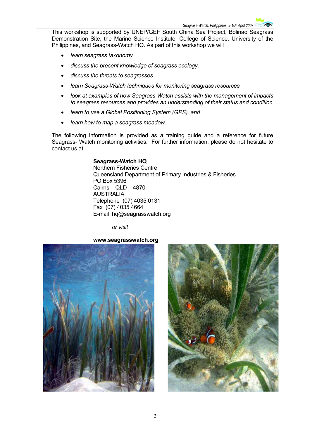This workshop is supported by UNEP/GEF South China Sea Project, Bolinao Seagrass Demonstration Site, the Marine Science Institute, College of Science, University of the Philippines, and Seagrass-Watch HQ. As part of this workshop we will

- *learn seagrass taxonomy*
- *discuss the present knowledge of seagrass ecology,*
- *discuss the threats to seagrasses*
- *learn Seagrass-Watch techniques for monitoring seagrass resources*
- *look at examples of how Seagrass-Watch assists with the management of impacts to seagrass resources and provides an understanding of their status and condition*
- *learn to use a Global Positioning System (GPS), and*
- *learn how to map a seagrass meadow.*

The following information is provided as a training guide and a reference for future Seagrass- Watch monitoring activities. For further information, please do not hesitate to contact us at

## **Seagrass-Watch HQ**

Northern Fisheries Centre Queensland Department of Primary Industries & Fisheries PO Box 5396 Cairns QLD 4870 AUSTRALIA Telephone (07) 4035 0131 Fax (07) 4035 4664 E-mail hq@seagrasswatch.org

*or visit* 

#### **www.seagrasswatch.org**



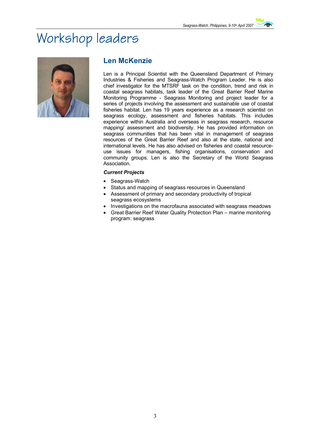# Workshop leaders



## **Len McKenzie**

Len is a Principal Scientist with the Queensland Department of Primary Industries & Fisheries and Seagrass-Watch Program Leader. He is also chief investigator for the MTSRF task on the condition, trend and risk in coastal seagrass habitats, task leader of the Great Barrier Reef Marine Monitoring Programme - Seagrass Monitoring and project leader for a series of projects involving the assessment and sustainable use of coastal fisheries habitat. Len has 19 years experience as a research scientist on seagrass ecology, assessment and fisheries habitats. This includes experience within Australia and overseas in seagrass research, resource mapping/ assessment and biodiversity. He has provided information on seagrass communities that has been vital in management of seagrass resources of the Great Barrier Reef and also at the state, national and international levels. He has also advised on fisheries and coastal resourceuse issues for managers, fishing organisations, conservation and community groups. Len is also the Secretary of the World Seagrass Association.

#### *Current Projects*

- Seagrass-Watch
- Status and mapping of seagrass resources in Queensland
- Assessment of primary and secondary productivity of tropical seagrass ecosystems
- Investigations on the macrofauna associated with seagrass meadows
- Great Barrier Reef Water Quality Protection Plan marine monitoring program: seagrass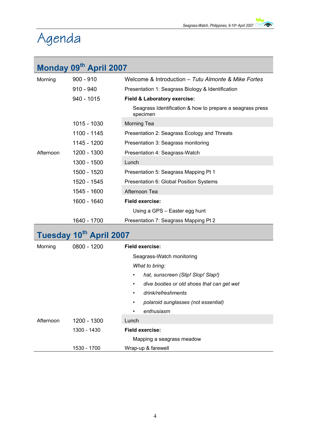# Agenda

|           | Monday 09th April 2007                              |                                                                       |
|-----------|-----------------------------------------------------|-----------------------------------------------------------------------|
| Morning   | Welcome & Introduction – Tutu Almonte & Mike Fortes |                                                                       |
|           | $910 - 940$                                         | Presentation 1: Seagrass Biology & Identification                     |
|           | 940 - 1015                                          | <b>Field &amp; Laboratory exercise:</b>                               |
|           |                                                     | Seagrass Identification & how to prepare a seagrass press<br>specimen |
|           | 1015 - 1030                                         | Morning Tea                                                           |
|           | 1100 - 1145                                         | Presentation 2: Seagrass Ecology and Threats                          |
|           | 1145 - 1200                                         | Presentation 3: Seagrass monitoring                                   |
| Afternoon | 1200 - 1300                                         | Presentation 4: Seagrass-Watch                                        |
|           | 1300 - 1500                                         | Lunch                                                                 |
|           | 1500 - 1520                                         | Presentation 5: Seagrass Mapping Pt 1                                 |
|           | 1520 - 1545                                         | Presentation 6: Global Position Systems                               |
|           | 1545 - 1600                                         | Afternoon Tea                                                         |
|           | 1600 - 1640                                         | Field exercise:                                                       |
|           |                                                     | Using a GPS - Easter egg hunt                                         |
|           | 1640 - 1700                                         | Presentation 7: Seagrass Mapping Pt 2                                 |

# **Tuesday 10th April 2007**

| Morning   | $0800 - 1200$ | Field exercise:                                  |
|-----------|---------------|--------------------------------------------------|
|           |               | Seagrass-Watch monitoring                        |
|           |               | What to bring:                                   |
|           |               | hat, sunscreen (Slip! Slop! Slap!)<br>٠          |
|           |               | dive booties or old shoes that can get wet<br>٠  |
|           |               | drink/refreshments<br>$\bullet$                  |
|           |               | polaroid sunglasses (not essential)<br>$\bullet$ |
|           |               | enthusiasm                                       |
| Afternoon | 1200 - 1300   | Lunch                                            |
|           | 1300 - 1430   | Field exercise:                                  |
|           |               | Mapping a seagrass meadow                        |
|           | 1530 - 1700   | Wrap-up & farewell                               |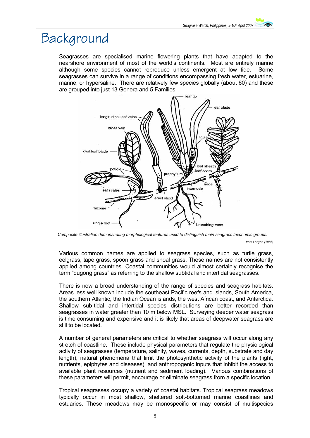# Background

Seagrasses are specialised marine flowering plants that have adapted to the nearshore environment of most of the world's continents. Most are entirely marine although some species cannot reproduce unless emergent at low tide. Some seagrasses can survive in a range of conditions encompassing fresh water, estuarine, marine, or hypersaline. There are relatively few species globally (about 60) and these are grouped into just 13 Genera and 5 Families.



*Composite illustration demonstrating morphological features used to distinguish main seagrass taxonomic groups. from Lanyon (1986)* 

Various common names are applied to seagrass species, such as turtle grass, eelgrass, tape grass, spoon grass and shoal grass. These names are not consistently applied among countries. Coastal communities would almost certainly recognise the term "dugong grass" as referring to the shallow subtidal and intertidal seagrasses.

There is now a broad understanding of the range of species and seagrass habitats. Areas less well known include the southeast Pacific reefs and islands, South America, the southern Atlantic, the Indian Ocean islands, the west African coast, and Antarctica. Shallow sub-tidal and intertidal species distributions are better recorded than seagrasses in water greater than 10 m below MSL. Surveying deeper water seagrass is time consuming and expensive and it is likely that areas of deepwater seagrass are still to be located.

A number of general parameters are critical to whether seagrass will occur along any stretch of coastline. These include physical parameters that regulate the physiological activity of seagrasses (temperature, salinity, waves, currents, depth, substrate and day length), natural phenomena that limit the photosynthetic activity of the plants (light, nutrients, epiphytes and diseases), and anthropogenic inputs that inhibit the access to available plant resources (nutrient and sediment loading). Various combinations of these parameters will permit, encourage or eliminate seagrass from a specific location.

Tropical seagrasses occupy a variety of coastal habitats. Tropical seagrass meadows typically occur in most shallow, sheltered soft-bottomed marine coastlines and estuaries. These meadows may be monospecific or may consist of multispecies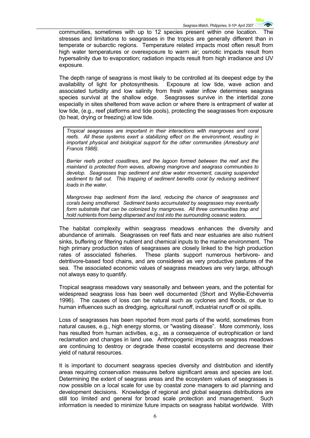communities, sometimes with up to 12 species present within one location. The stresses and limitations to seagrasses in the tropics are generally different than in temperate or subarctic regions. Temperature related impacts most often result from high water temperatures or overexposure to warm air; osmotic impacts result from hypersalinity due to evaporation; radiation impacts result from high irradiance and UV exposure.

The depth range of seagrass is most likely to be controlled at its deepest edge by the availability of light for photosynthesis. Exposure at low tide, wave action and associated turbidity and low salinity from fresh water inflow determines seagrass species survival at the shallow edge. Seagrasses survive in the intertidal zone especially in sites sheltered from wave action or where there is entrapment of water at low tide, (e.g., reef platforms and tide pools), protecting the seagrasses from exposure (to heat, drying or freezing) at low tide.

*Tropical seagrasses are important in their interactions with mangroves and coral reefs. All these systems exert a stabilizing effect on the environment, resulting in important physical and biological support for the other communities (Amesbury and Francis 1988).* 

*Barrier reefs protect coastlines, and the lagoon formed between the reef and the mainland is protected from waves, allowing mangrove and seagrass communities to develop. Seagrasses trap sediment and slow water movement, causing suspended sediment to fall out. This trapping of sediment benefits coral by reducing sediment loads in the water.* 

*Mangroves trap sediment from the land, reducing the chance of seagrasses and corals being smothered. Sediment banks accumulated by seagrasses may eventually form substrate that can be colonized by mangroves. All three communities trap and hold nutrients from being dispersed and lost into the surrounding oceanic waters.*

The habitat complexity within seagrass meadows enhances the diversity and abundance of animals. Seagrasses on reef flats and near estuaries are also nutrient sinks, buffering or filtering nutrient and chemical inputs to the marine environment. The high primary production rates of seagrasses are closely linked to the high production rates of associated fisheries. These plants support numerous herbivore- and detritivore-based food chains, and are considered as very productive pastures of the sea. The associated economic values of seagrass meadows are very large, although not always easy to quantify.

Tropical seagrass meadows vary seasonally and between years, and the potential for widespread seagrass loss has been well documented (Short and Wyllie-Echeverria 1996). The causes of loss can be natural such as cyclones and floods, or due to human influences such as dredging, agricultural runoff, industrial runoff or oil spills.

Loss of seagrasses has been reported from most parts of the world, sometimes from natural causes, e.g., high energy storms, or "wasting disease". More commonly, loss has resulted from human activities, e.g., as a consequence of eutrophication or land reclamation and changes in land use. Anthropogenic impacts on seagrass meadows are continuing to destroy or degrade these coastal ecosystems and decrease their yield of natural resources.

It is important to document seagrass species diversity and distribution and identify areas requiring conservation measures before significant areas and species are lost. Determining the extent of seagrass areas and the ecosystem values of seagrasses is now possible on a local scale for use by coastal zone managers to aid planning and development decisions. Knowledge of regional and global seagrass distributions are still too limited and general for broad scale protection and management. Such information is needed to minimize future impacts on seagrass habitat worldwide. With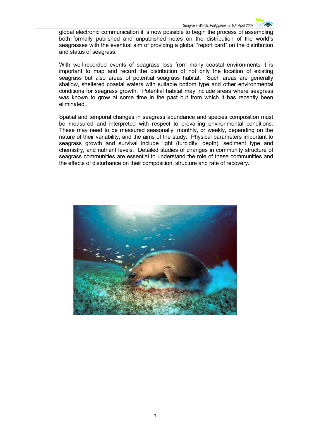

global electronic communication it is now possible to begin the process of assembling both formally published and unpublished notes on the distribution of the world's seagrasses with the eventual aim of providing a global "report card" on the distribution and status of seagrass.

With well-recorded events of seagrass loss from many coastal environments it is important to map and record the distribution of not only the location of existing seagrass but also areas of potential seagrass habitat. Such areas are generally shallow, sheltered coastal waters with suitable bottom type and other environmental conditions for seagrass growth. Potential habitat may include areas where seagrass was known to grow at some time in the past but from which it has recently been eliminated.

Spatial and temporal changes in seagrass abundance and species composition must be measured and interpreted with respect to prevailing environmental conditions. These may need to be measured seasonally, monthly, or weekly, depending on the nature of their variability, and the aims of the study. Physical parameters important to seagrass growth and survival include light (turbidity, depth), sediment type and chemistry, and nutrient levels. Detailed studies of changes in community structure of seagrass communities are essential to understand the role of these communities and the effects of disturbance on their composition, structure and rate of recovery.

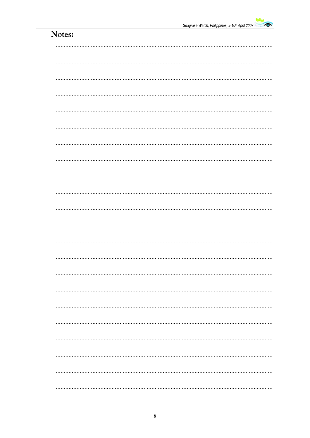| Notes: |
|--------|
|        |
|        |
|        |
|        |
|        |
|        |
|        |
|        |
|        |
|        |
|        |
|        |
|        |
|        |
|        |
|        |
|        |
|        |
|        |
| .      |
|        |
|        |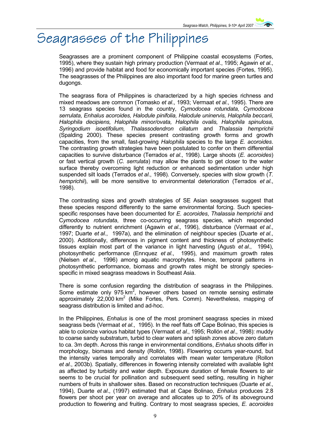# Seagrasses of the Philippines

Seagrasses are a prominent component of Philippine coastal ecosystems (Fortes, 1995), where they sustain high primary production (Vermaat *et al*., 1995; Agawin *et al*., 1996) and provide habitat and food for economically important species (Fortes, 1995). The seagrasses of the Philippines are also important food for marine green turtles and dugongs.

The seagrass flora of Philippines is characterized by a high species richness and mixed meadows are common (Tomasko *et al*., 1993; Vermaat *et al*., 1995). There are 13 seagrass species found in the country, *Cymodocea rotundata, Cymodocea serrulata, Enhalus acoroides, Halodule pinifolia, Halodule uninervis, Halophila beccarii, Halophila decipiens, Halophila minor/ovata, Halophila ovalis, Halophila spinulosa, Syringodium isoetifolium, Thalassodendron ciliatum* and *Thalassia hemprichii*  (Spalding 2000). These species present contrasting growth forms and growth capacities, from the small, fast-growing *Halophila* species to the large *E. acoroides*. The contrasting growth strategies have been postulated to confer on them differential capacities to survive disturbance (Terrados *et al*., 1998). Large shoots (*E. acoroides*) or fast vertical growth (*C. serrulata*) may allow the plants to get closer to the water surface thereby overcoming light reduction or enhanced sedimentation under high suspended silt loads (Terrados *et al*., 1998). Conversely, species with slow growth (*T. hemprichii*), will be more sensitive to environmental deterioration (Terrados *et al*., 1998).

The contrasting sizes and growth strategies of SE Asian seagrasses suggest that these species respond differently to the same environmental forcing. Such speciesspecific responses have been documented for *E. acoroides*, *Thalassia hemprichii* and C*ymodocea rotundata*, three co-occurring seagrass species, which responded differently to nutrient enrichment (Agawin *et al*., 1996), disturbance (Vermaat *et al*., 1997; Duarte *et al*., 1997a), and the elimination of neighbour species (Duarte *et al*., 2000). Additionally, differences in pigment content and thickness of photosynthetic tissues explain most part of the variance in light harvesting (Agustı *et al*., 1994), photosynthetic performance (Enrıquez *et al*., 1995), and maximum growth rates (Nielsen *et al*., 1996) among aquatic macrophytes. Hence, temporal patterns in photosynthetic performance, biomass and growth rates might be strongly speciesspecific in mixed seagrass meadows in Southeast Asia.

There is some confusion regarding the distribution of seagrass in the Philippines. Some estimate only 975  $km^2$ , however others based on remote sensing estimate approximately 22,000 km<sup>2</sup> (Mike Fortes, Pers. Comm). Nevertheless, mapping of seagrass distribution is limited and ad-hoc.

In the Philippines, *Enhalus* is one of the most prominent seagrass species in mixed seagrass beds (Vermaat *et al*., 1995). In the reef flats off Cape Bolinao, this species is able to colonize various habitat types (Vermaat *et al*., 1995; Rollón *et al*., 1998): muddy to coarse sandy substratum, turbid to clear waters and splash zones above zero datum to ca. 3m depth. Across this range in environmental conditions, *Enhalus* shoots differ in morphology, biomass and density (Rollón, 1998). Flowering occurrs year-round, but the intensity varies temporally and correlates with mean water temperature (Rollon *et al*., 2003b). Spatially, differences in flowering intensity correlated with available light as affected by turbidity and water depth. Exposure duration of female flowers to air seems to be crucial for pollination and subsequent seed setting, resulting in higher numbers of fruits in shallower sites. Based on reconstruction techniques (Duarte *et al*., 1994), Duarte *et al*., (1997) estimated that at Cape Bolinao, *Enhalus* produces 2.8 flowers per shoot per year on average and allocates up to 20% of its aboveground production to flowering and fruiting. Contrary to most seagrass species, *E. acoroides*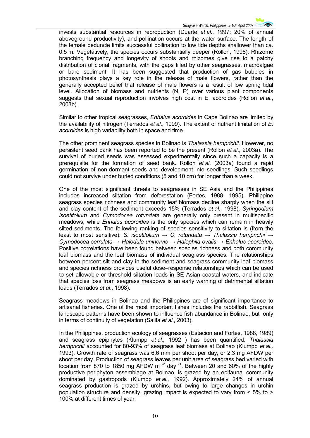*Seagrass-Watch, Philippines, 9-10th April 2007* 

invests substantial resources in reproduction (Duarte *et al*., 1997: 20% of annual aboveground productivity), and pollination occurs at the water surface. The length of the female peduncle limits successful pollination to low tide depths shallower than ca. 0.5 m. Vegetatively, the species occurs substantially deeper (Rollon, 1998). Rhizome branching frequency and longevity of shoots and rhizomes give rise to a patchy distribution of clonal fragments, with the gaps filled by other seagrasses, macroalgae or bare sediment. It has been suggested that production of gas bubbles in photosynthesis plays a key role in the release of male flowers, rather than the generally accepted belief that release of male flowers is a result of low spring tidal level. Allocation of biomass and nutrients (N, P) over various plant components suggests that sexual reproduction involves high cost in E. acoroides (Rollon *et al*., 2003b).

Similar to other tropical seagrasses, *Enhalus acoroides* in Cape Bolinao are limited by the availability of nitrogen (Terrados *et al*., 1999). The extent of nutrient limitation of *E. acoroides* is high variability both in space and time.

The other prominent seagrass species in Bolinao is *Thalassia hemprichii.* However, no persistent seed bank has been reported to be the present (Rollon *et al*., 2003a). The survival of buried seeds was assessed experimentally since such a capacity is a prerequisite for the formation of seed bank. Rollon *et al*. (2003a) found a rapid germination of non-dormant seeds and development into seedlings. Such seedlings could not survive under buried conditions (5 and 10 cm) for longer than a week.

One of the most significant threats to seagrasses in SE Asia and the Philippines includes increased siltation from deforestation (Fortes, 1988, 1995). Philippine seagrass species richness and community leaf biomass decline sharply when the silt and clay content of the sediment exceeds 15% (Terrados *et al.*, 1998). *Syringodium isoetifolium* and *Cymodocea rotundata* are generally only present in multispecific meadows, while *Enhalus acoroides* is the only species which can remain in heavily silted sediments. The following ranking of species sensitivity to siltation is (from the least to most sensitive): *S. isoetifolium → C. rotundata → Thalassia hemprichii → Cymodocea serrulata → Halodule uninervis → Halophila ovalis → Enhalus acoroides*. Positive correlations have been found between species richness and both community leaf biomass and the leaf biomass of individual seagrass species. The relationships between percent silt and clay in the sediment and seagrass community leaf biomass and species richness provides useful dose–response relationships which can be used to set allowable or threshold siltation loads in SE Asian coastal waters, and indicate that species loss from seagrass meadows is an early warning of detrimental siltation loads (Terrados *et al*., 1998).

Seagrass meadows in Bolinao and the Philippines are of significant importance to artisanal fisheries. One of the most important fishes includes the rabbitfish. Seagrass landscape patterns have been shown to influence fish abundance in Bolinao, but only in terms of continuity of vegetation (Salita *et al.,* 2003).

In the Philippines, production ecology of seagrasses (Estacion and Fortes, 1988, 1989) and seagrass epiphytes (Klumpp *et al.,* 1992 ) has been quantified. *Thalassia hemprichii* accounted for 80-93% of seagrass leaf biomass at Bolinao (Klumpp *et al.,* 1993). Growth rate of seagrass was 6.6 mm per shoot per day, or 2.3 mg AFDW per shoot per day. Production of seagrass leaves per unit area of seagrass bed varied with location from 870 to 1850 mg AFDW m<sup>-2</sup> day  $-1$ . Between 20 and 60% of the highly productive periphyton assemblage at Bolinao, is grazed by an epifaunal community dominated by gastropods (Klumpp *et al.,* 1992). Approximately 24% of annual seagrass production is grazed by urchins, but owing to large changes in urchin population structure and density, grazing impact is expected to vary from  $\leq 5\%$  to  $\geq$ 100% at different times of year.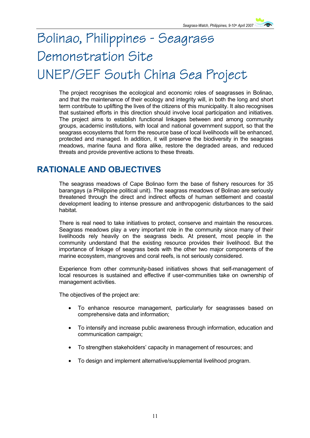# Bolinao, Philippines - Seagrass Demonstration Site UNEP/GEF South China Sea Project

The project recognises the ecological and economic roles of seagrasses in Bolinao, and that the maintenance of their ecology and integrity will, in both the long and short term contribute to uplifting the lives of the citizens of this municipality. It also recognises that sustained efforts in this direction should involve local participation and initiatives. The project aims to establish functional linkages between and among community groups, academic institutions, with local and national government support, so that the seagrass ecosystems that form the resource base of local livelihoods will be enhanced, protected and managed. In addition, it will preserve the biodiversity in the seagrass meadows, marine fauna and flora alike, restore the degraded areas, and reduced threats and provide preventive actions to these threats.

## **RATIONALE AND OBJECTIVES**

The seagrass meadows of Cape Bolinao form the base of fishery resources for 35 barangays (a Philippine political unit). The seagrass meadows of Bolinao are seriously threatened through the direct and indirect effects of human settlement and coastal development leading to intense pressure and anthropogenic disturbances to the said habitat.

There is real need to take initiatives to protect, conserve and maintain the resources. Seagrass meadows play a very important role in the community since many of their livelihoods rely heavily on the seagrass beds. At present, most people in the community understand that the existing resource provides their livelihood. But the importance of linkage of seagrass beds with the other two major components of the marine ecosystem, mangroves and coral reefs, is not seriously considered.

Experience from other community-based initiatives shows that self-management of local resources is sustained and effective if user-communities take on ownership of management activities.

The objectives of the project are:

- To enhance resource management, particularly for seagrasses based on comprehensive data and information;
- To intensify and increase public awareness through information, education and communication campaign;
- To strengthen stakeholders' capacity in management of resources; and
- To design and implement alternative/supplemental livelihood program.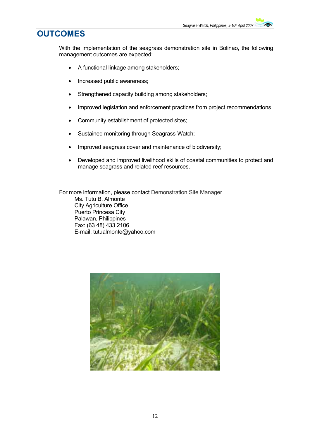## **OUTCOMES**

With the implementation of the seagrass demonstration site in Bolinao, the following management outcomes are expected:

- A functional linkage among stakeholders;
- Increased public awareness;
- Strengthened capacity building among stakeholders;
- Improved legislation and enforcement practices from project recommendations
- Community establishment of protected sites;
- Sustained monitoring through Seagrass-Watch;
- Improved seagrass cover and maintenance of biodiversity;
- Developed and improved livelihood skills of coastal communities to protect and manage seagrass and related reef resources.

For more information, please contact Demonstration Site Manager Ms. Tutu B. Almonte City Agriculture Office Puerto Princesa City Palawan, Philippines Fax: (63 48) 433 2106 E-mail: tutualmonte@yahoo.com

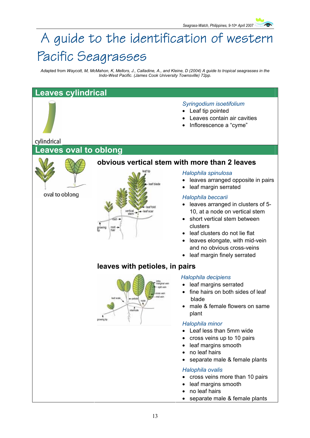# A guide to the identification of western Pacific Seagrasses

*Ad*apted from *Waycott, M, McMahon, K, Mellors, J., Calladine, A., and Kleine, D (2004) A guide to tropical seagrasses in the Indo-West Pacific. (James Cook University Townsville) 72pp.* 

### **Leaves cylindrical**  *Syringodium isoetifolium* • Leaf tip pointed • Leaves contain air cavities • Inflorescence a "cyme" cylindrical **Leaves oval to oblong obvious vertical stem with more than 2 leaves** *Halophila spinulosa*  • leaves arranged opposite in pairs leaf margin serrated oval to oblong *Halophila beccarii*  • leaves arranged in clusters of 5- **Inish Teast** vertical - leaf scar 10, at a node on vertical stem • short vertical stem between clusters • leaf clusters do not lie flat • leaves elongate, with mid-vein and no obvious cross-veins • leaf margin finely serrated **leaves with petioles, in pairs** *Halophila decipiens*  • leaf margins serrated fine hairs on both sides of leaf blade • male & female flowers on same plant *Halophila minor*  Leaf less than 5mm wide • cross veins up to 10 pairs leaf margins smooth • no leaf hairs separate male & female plants *Halophila ovalis*  • cross veins more than 10 pairs

- leaf margins smooth
- no leaf hairs
- separate male & female plants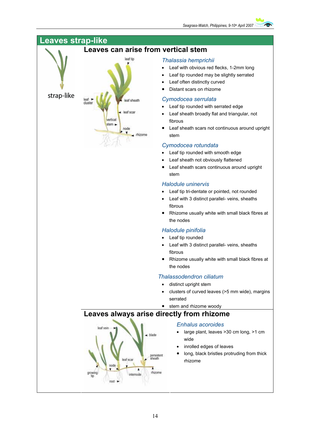## **Leaves strap-like**



### *Thalassia hemprichii*

- Leaf with obvious red flecks, 1-2mm long
- Leaf tip rounded may be slightly serrated
- Leaf often distinctly curved
- Distant scars on rhizome

#### *Cymodocea serrulata*

- Leaf tip rounded with serrated edge
- Leaf sheath broadly flat and triangular, not fibrous
- Leaf sheath scars not continuous around upright stem

#### *Cymodocea rotundata*

- Leaf tip rounded with smooth edge
- Leaf sheath not obviously flattened
- Leaf sheath scars continuous around upright stem

#### *Halodule uninervis*

- Leaf tip tri-dentate or pointed, not rounded
- Leaf with 3 distinct parallel- veins, sheaths fibrous
- Rhizome usually white with small black fibres at the nodes

#### *Halodule pinifolia*

- Leaf tip rounded
- Leaf with 3 distinct parallel- veins, sheaths fibrous
- Rhizome usually white with small black fibres at the nodes

### *Thalassodendron ciliatum*

- distinct upright stem
- clusters of curved leaves (>5 mm wide), margins serrated
- stem and rhizome woody

## **Leaves always arise directly from rhizome**



### *Enhalus acoroides*

- large plant, leaves >30 cm long, >1 cm wide
- inrolled edges of leaves
- long, black bristles protruding from thick rhizome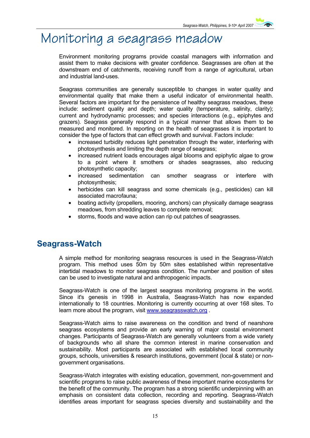# Monitoring a seagrass meadow

Environment monitoring programs provide coastal managers with information and assist them to make decisions with greater confidence. Seagrasses are often at the downstream end of catchments, receiving runoff from a range of agricultural, urban and industrial land-uses.

Seagrass communities are generally susceptible to changes in water quality and environmental quality that make them a useful indicator of environmental health. Several factors are important for the persistence of healthy seagrass meadows, these include: sediment quality and depth; water quality (temperature, salinity, clarity); current and hydrodynamic processes; and species interactions (e.g., epiphytes and grazers). Seagrass generally respond in a typical manner that allows them to be measured and monitored. In reporting on the health of seagrasses it is important to consider the type of factors that can effect growth and survival. Factors include:

- increased turbidity reduces light penetration through the water, interfering with photosynthesis and limiting the depth range of seagrass;
- increased nutrient loads encourages algal blooms and epiphytic algae to grow to a point where it smothers or shades seagrasses, also reducing photosynthetic capacity;
- increased sedimentation can smother seagrass or interfere with photosynthesis;
- herbicides can kill seagrass and some chemicals (e.g., pesticides) can kill associated macrofauna;
- boating activity (propellers, mooring, anchors) can physically damage seagrass meadows, from shredding leaves to complete removal;
- storms, floods and wave action can rip out patches of seagrasses.

## **Seagrass-Watch**

A simple method for monitoring seagrass resources is used in the Seagrass-Watch program. This method uses 50m by 50m sites established within representative intertidal meadows to monitor seagrass condition. The number and position of sites can be used to investigate natural and anthropogenic impacts.

Seagrass-Watch is one of the largest seagrass monitoring programs in the world. Since it's genesis in 1998 in Australia, Seagrass-Watch has now expanded internationally to 18 countries. Monitoring is currently occurring at over 168 sites. To learn more about the program, visit www.seagrasswatch.org .

Seagrass-Watch aims to raise awareness on the condition and trend of nearshore seagrass ecosystems and provide an early warning of major coastal environment changes. Participants of Seagrass-Watch are generally volunteers from a wide variety of backgrounds who all share the common interest in marine conservation and sustainability. Most participants are associated with established local community groups, schools, universities & research institutions, government (local & state) or nongovernment organisations.

Seagrass-Watch integrates with existing education, government, non-government and scientific programs to raise public awareness of these important marine ecosystems for the benefit of the community. The program has a strong scientific underpinning with an emphasis on consistent data collection, recording and reporting. Seagrass-Watch identifies areas important for seagrass species diversity and sustainability and the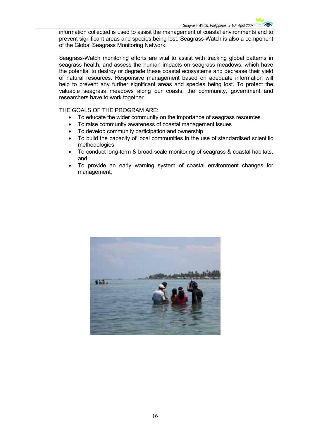*Seagrass-Watch, Philippines, 9-10th April 2007* 

information collected is used to assist the management of coastal environments and to prevent significant areas and species being lost. Seagrass-Watch is also a component of the Global Seagrass Monitoring Network.

Seagrass-Watch monitoring efforts are vital to assist with tracking global patterns in seagrass health, and assess the human impacts on seagrass meadows, which have the potential to destroy or degrade these coastal ecosystems and decrease their yield of natural resources. Responsive management based on adequate information will help to prevent any further significant areas and species being lost. To protect the valuable seagrass meadows along our coasts, the community, government and researchers have to work together.

THE GOALS OF THE PROGRAM ARE:

- To educate the wider community on the importance of seagrass resources
- To raise community awareness of coastal management issues
- To develop community participation and ownership
- To build the capacity of local communities in the use of standardised scientific methodologies
- To conduct long-term & broad-scale monitoring of seagrass & coastal habitats, and
- To provide an early warning system of coastal environment changes for management.

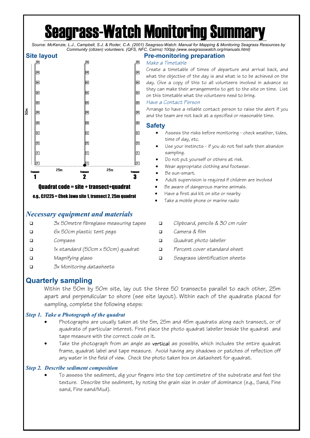# rass-Watch Monitoring Sumn

*Source: McKenzie, L.J., Campbell, S.J. & Roder, C.A. (2001) Seagrass-Watch: Manual for Mapping & Monitoring Seagrass Resources by Community (citizen) volunteers. (QFS, NFC, Cairns) 100pp (www.seagrasswatch.org/manuals.html)*



Quadrat code = site + transect+quadrat

e.g., CJ1225 = Chek Jawa site 1, transect 2, 25m quadrat

### *Necessary equipment and materials*

- *3x 50metre fibreglass measuring tapes*
- *6x 50cm plastic tent pegs*
- *Compass*
- *1x standard (50cm x 50cm) quadrat*
- *Magnifying glass*
- *3x Monitoring datasheets*

## **Site layout Pre-monitoring preparation**

#### *Make a Timetable*

Create a timetable of times of departure and arrival back, and what the objective of the day is and what is to be achieved on the day. Give a copy of this to all volunteers involved in advance so they can make their arrangements to get to the site on time. List on this timetable what the volunteers need to bring.

#### *Have a Contact Person*

Arrange to have a reliable contact person to raise the alert if you and the team are not back at a specified or reasonable time.

#### **Safety**

- Assess the risks before monitoring check weather, tides, time of day, etc.
- Use your instincts if you do not feel safe then abandon sampling.
- Do not put yourself or others at risk.
- Wear appropriate clothing and footwear.
- Be sun-smart.
- Adult supervision is required if children are involved
- Be aware of dangerous marine animals.
- Have a first aid kit on site or nearby
- Take a mobile phone or marine radio
- *Clipboard, pencils & 30 cm ruler*
- *Camera & film*
- *Quadrat photo labeller*
- *Percent cover standard sheet*
- *Seagrass identification sheets*

## **Quarterly sampling**

Within the 50m by 50m site, lay out the three 50 transects parallel to each other, 25m apart and perpendicular to shore (see site layout). Within each of the quadrats placed for sampling, complete the following steps:

### *Step 1. Take a Photograph of the quadrat*

- Photographs are usually taken at the 5m, 25m and 45m quadrats along each transect, or of quadrats of particular interest. First place the photo quadrat labeller beside the quadrat and tape measure with the correct code on it.
- Take the photograph from an angle as vertical as possible, which includes the entire quadrat frame, quadrat label and tape measure. Avoid having any shadows or patches of reflection off any water in the field of view. Check the photo taken box on datasheet for quadrat.

### *Step 2. Describe sediment composition*

• To assess the sediment, dig your fingers into the top centimetre of the substrate and feel the texture. Describe the sediment, by noting the grain size in order of dominance (e.g., Sand, Fine sand, Fine sand/Mud).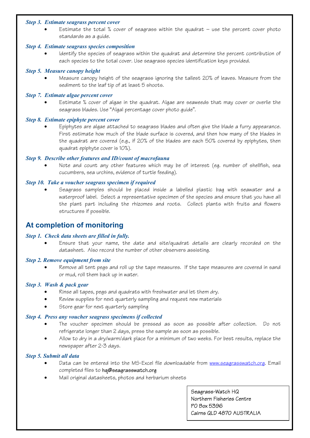#### *Step 3. Estimate seagrass percent cover*

Estimate the total  $%$  cover of seagrass within the quadrat  $-$  use the percent cover photo standards as a guide.

#### *Step 4. Estimate seagrass species composition*

• Identify the species of seagrass within the quadrat and determine the percent contribution of each species to the total cover. Use seagrass species identification keys provided.

#### *Step 5. Measure canopy height*

• Measure canopy height of the seagrass ignoring the tallest 20% of leaves. Measure from the sediment to the leaf tip of at least 5 shoots.

#### *Step 7. Estimate algae percent cover*

• Estimate % cover of algae in the quadrat. Algae are seaweeds that may cover or overlie the seagrass blades. Use "Algal percentage cover photo guide".

#### *Step 8. Estimate epiphyte percent cover*

• Epiphytes are algae attached to seagrass blades and often give the blade a furry appearance. First estimate how much of the blade surface is covered, and then how many of the blades in the quadrat are covered (e.g., if 20% of the blades are each 50% covered by epiphytes, then quadrat epiphyte cover is 10%).

#### *Step 9. Describe other features and ID/count of macrofauna*

• Note and count any other features which may be of interest (eg. number of shellfish, sea cucumbers, sea urchins, evidence of turtle feeding).

#### *Step 10. Take a voucher seagrass specimen if required*

• Seagrass samples should be placed inside a labelled plastic bag with seawater and a waterproof label. Select a representative specimen of the species and ensure that you have all the plant part including the rhizomes and roots. Collect plants with fruits and flowers structures if possible.

## **At completion of monitoring**

#### *Step 1. Check data sheets are filled in fully.*

• Ensure that your name, the date and site/quadrat details are clearly recorded on the datasheet. Also record the number of other observers assisting.

#### *Step 2. Remove equipment from site*

• Remove all tent pegs and roll up the tape measures. If the tape measures are covered in sand or mud, roll them back up in water.

#### *Step 3. Wash & pack gear*

- Rinse all tapes, pegs and quadrats with freshwater and let them dry.
- Review supplies for next quarterly sampling and request new materials
- Store gear for next quarterly sampling

#### *Step 4. Press any voucher seagrass specimens if collected*

- The voucher specimen should be pressed as soon as possible after collection. Do not refrigerate longer than 2 days, press the sample as soon as possible.
- Allow to dry in a dry/warm/dark place for a minimum of two weeks. For best results, replace the newspaper after 2-3 days.

#### *Step 5. Submit all data*

- Data can be entered into the MS-Excel file downloadable from www.seagrasswatch.org. Email completed files to hq@seagrasswatch.org
- Mail original datasheets, photos and herbarium sheets

Seagrass-Watch HQ Northern Fisheries Centre PO Box 5396 Cairns QLD 4870 AUSTRALIA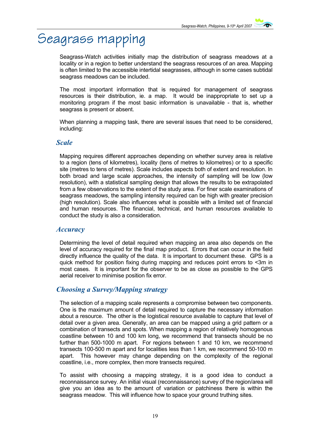# Seagrass mapping

Seagrass-Watch activities initially map the distribution of seagrass meadows at a locality or in a region to better understand the seagrass resources of an area. Mapping is often limited to the accessible intertidal seagrasses, although in some cases subtidal seagrass meadows can be included.

The most important information that is required for management of seagrass resources is their distribution, ie. a map. It would be inappropriate to set up a monitoring program if the most basic information is unavailable - that is, whether seagrass is present or absent.

When planning a mapping task, there are several issues that need to be considered, including:

### *Scale*

Mapping requires different approaches depending on whether survey area is relative to a region (tens of kilometres), locality (tens of metres to kilometres) or to a specific site (metres to tens of metres). Scale includes aspects both of extent and resolution. In both broad and large scale approaches, the intensity of sampling will be low (low resolution), with a statistical sampling design that allows the results to be extrapolated from a few observations to the extent of the study area. For finer scale examinations of seagrass meadows, the sampling intensity required can be high with greater precision (high resolution). Scale also influences what is possible with a limited set of financial and human resources. The financial, technical, and human resources available to conduct the study is also a consideration.

### *Accuracy*

Determining the level of detail required when mapping an area also depends on the level of accuracy required for the final map product. Errors that can occur in the field directly influence the quality of the data. It is important to document these. GPS is a quick method for position fixing during mapping and reduces point errors to <3m in most cases. It is important for the observer to be as close as possible to the GPS aerial receiver to minimise position fix error.

## *Choosing a Survey/Mapping strategy*

The selection of a mapping scale represents a compromise between two components. One is the maximum amount of detail required to capture the necessary information about a resource. The other is the logistical resource available to capture that level of detail over a given area. Generally, an area can be mapped using a grid pattern or a combination of transects and spots. When mapping a region of relatively homogenous coastline between 10 and 100 km long, we recommend that transects should be no further than 500-1000 m apart. For regions between 1 and 10 km, we recommend transects 100-500 m apart and for localities less than 1 km, we recommend 50-100 m apart. This however may change depending on the complexity of the regional coastline, i.e., more complex, then more transects required.

To assist with choosing a mapping strategy, it is a good idea to conduct a reconnaissance survey. An initial visual (reconnaissance) survey of the region/area will give you an idea as to the amount of variation or patchiness there is within the seagrass meadow. This will influence how to space your ground truthing sites.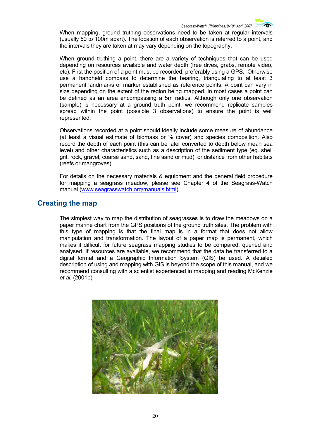*Seagrass-Watch, Philippines, 9-10th April 2007* 

When mapping, ground truthing observations need to be taken at regular intervals (usually 50 to 100m apart). The location of each observation is referred to a point, and the intervals they are taken at may vary depending on the topography.

When ground truthing a point, there are a variety of techniques that can be used depending on resources available and water depth (free dives, grabs, remote video, etc). First the position of a point must be recorded, preferably using a GPS. Otherwise use a handheld compass to determine the bearing, triangulating to at least 3 permanent landmarks or marker established as reference points. A point can vary in size depending on the extent of the region being mapped. In most cases a point can be defined as an area encompassing a 5m radius. Although only one observation (sample) is necessary at a ground truth point, we recommend replicate samples spread within the point (possible 3 observations) to ensure the point is well represented.

Observations recorded at a point should ideally include some measure of abundance (at least a visual estimate of biomass or % cover) and species composition. Also record the depth of each point (this can be later converted to depth below mean sea level) and other characteristics such as a description of the sediment type (eg. shell grit, rock, gravel, coarse sand, sand, fine sand or mud), or distance from other habitats (reefs or mangroves).

For details on the necessary materials & equipment and the general field procedure for mapping a seagrass meadow, please see Chapter 4 of the Seagrass-Watch manual (www.seagrasswatch.org/manuals.html).

### **Creating the map**

The simplest way to map the distribution of seagrasses is to draw the meadows on a paper marine chart from the GPS positions of the ground truth sites. The problem with this type of mapping is that the final map is in a format that does not allow manipulation and transformation. The layout of a paper map is permanent, which makes it difficult for future seagrass mapping studies to be compared, queried and analysed. If resources are available, we recommend that the data be transferred to a digital format and a Geographic Information System (GIS) be used. A detailed description of using and mapping with GIS is beyond the scope of this manual, and we recommend consulting with a scientist experienced in mapping and reading McKenzie *et al.* (2001b).

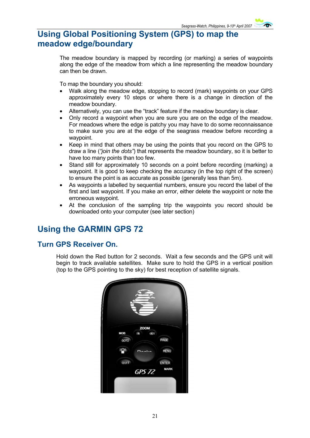## **Using Global Positioning System (GPS) to map the meadow edge/boundary**

The meadow boundary is mapped by recording (or marking) a series of waypoints along the edge of the meadow from which a line representing the meadow boundary can then be drawn.

To map the boundary you should:

- Walk along the meadow edge, stopping to record (mark) waypoints on your GPS approximately every 10 steps or where there is a change in direction of the meadow boundary.
- Alternatively, you can use the "track" feature if the meadow boundary is clear.
- Only record a waypoint when you are sure you are on the edge of the meadow. For meadows where the edge is patchy you may have to do some reconnaissance to make sure you are at the edge of the seagrass meadow before recording a waypoint.
- Keep in mind that others may be using the points that you record on the GPS to draw a line (*"join the dots"*) that represents the meadow boundary, so it is better to have too many points than too few.
- Stand still for approximately 10 seconds on a point before recording (marking) a waypoint. It is good to keep checking the accuracy (in the top right of the screen) to ensure the point is as accurate as possible (generally less than 5m).
- As waypoints a labelled by sequential numbers, ensure you record the label of the first and last waypoint. If you make an error, either delete the waypoint or note the erroneous waypoint.
- At the conclusion of the sampling trip the waypoints you record should be downloaded onto your computer (see later section)

## **Using the GARMIN GPS 72**

## **Turn GPS Receiver On.**

Hold down the Red button for 2 seconds. Wait a few seconds and the GPS unit will begin to track available satellites. Make sure to hold the GPS in a vertical position (top to the GPS pointing to the sky) for best reception of satellite signals.

|                    | ZOOM            |             |
|--------------------|-----------------|-------------|
| <b>MOB</b><br>GOTO | <b>OUT</b><br>病 | PAGE        |
|                    |                 |             |
|                    | . п             | <b>MENU</b> |
| QUIT               |                 | ENTER       |
|                    | <b>GPS 72</b>   | <b>MARK</b> |
|                    |                 |             |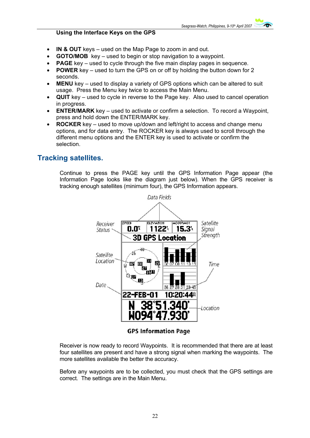#### **Using the Interface Keys on the GPS**

- **IN & OUT** keys used on the Map Page to zoom in and out.
- **GOTO/MOB** key used to begin or stop navigation to a waypoint.
- **PAGE** key used to cycle through the five main display pages in sequence.
- **POWER** key used to turn the GPS on or off by holding the button down for 2 seconds.
- **MENU** key used to display a variety of GPS options which can be altered to suit usage. Press the Menu key twice to access the Main Menu.
- **QUIT** key used to cycle in reverse to the Page key. Also used to cancel operation in progress.
- **ENTER/MARK** key used to activate or confirm a selection. To record a Waypoint, press and hold down the ENTER/MARK key.
- **ROCKER** key used to move up/down and left/right to access and change menu options, and for data entry. The ROCKER key is always used to scroll through the different menu options and the ENTER key is used to activate or confirm the selection.

## **Tracking satellites.**

Continue to press the PAGE key until the GPS Information Page appear (the Information Page looks like the diagram just below). When the GPS receiver is tracking enough satellites (minimum four), the GPS Information appears.



**GPS Information Page** 

Receiver is now ready to record Waypoints. It is recommended that there are at least four satellites are present and have a strong signal when marking the waypoints. The more satellites available the better the accuracy.

Before any waypoints are to be collected, you must check that the GPS settings are correct. The settings are in the Main Menu.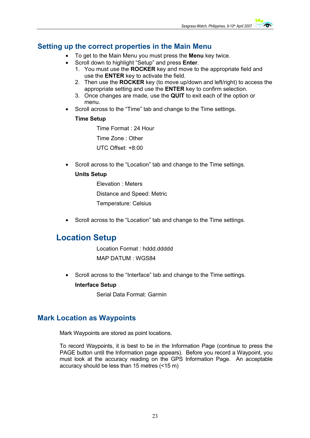## **Setting up the correct properties in the Main Menu**

- To get to the Main Menu you must press the **Menu** key twice.
- Scroll down to highlight "Setup" and press **Enter**.
	- 1. You must use the **ROCKER** key and move to the appropriate field and use the **ENTER** key to activate the field.
	- 2. Then use the **ROCKER** key (to move up/down and left/right) to access the appropriate setting and use the **ENTER** key to confirm selection.
	- 3. Once changes are made, use the **QUIT** to exit each of the option or menu.
- Scroll across to the "Time" tab and change to the Time settings.

### **Time Setup**

Time Format : 24 Hour Time Zone : Other UTC Offset: +8:00

• Scroll across to the "Location" tab and change to the Time settings.

### **Units Setup**

Elevation : Meters Distance and Speed: Metric Temperature: Celsius

• Scroll across to the "Location" tab and change to the Time settings.

## **Location Setup**

Location Format : hddd.ddddd MAP DATUM : WGS84

• Scroll across to the "Interface" tab and change to the Time settings.

#### **Interface Setup**

Serial Data Format: Garmin

## **Mark Location as Waypoints**

Mark Waypoints are stored as point locations.

To record Waypoints, it is best to be in the Information Page (continue to press the PAGE button until the Information page appears). Before you record a Waypoint, you must look at the accuracy reading on the GPS Information Page. An acceptable accuracy should be less than 15 metres (<15 m)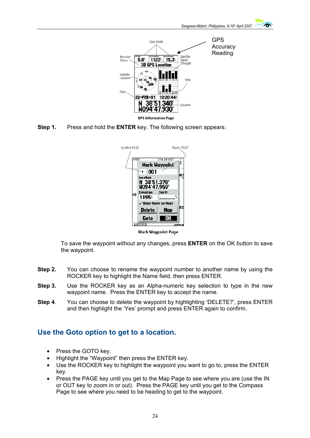

**Step 1.** Press and hold the **ENTER** key. The following screen appears:



**Mark Waypoint Page** 

To save the waypoint without any changes, press **ENTER** on the OK button to save the waypoint.

- **Step 2.** You can choose to rename the waypoint number to another name by using the ROCKER key to highlight the Name field, then press ENTER.
- **Step 3.** Use the ROCKER key as an Alpha-numeric key selection to type in the new waypoint name. Press the ENTER key to accept the name.
- **Step 4**. You can choose to delete the waypoint by highlighting 'DELETE?', press ENTER and then highlight the 'Yes' prompt and press ENTER again to confirm.

## **Use the Goto option to get to a location.**

- Press the GOTO key.
- Highlight the "Waypoint" then press the ENTER key.
- Use the ROCKER key to highlight the waypoint you want to go to, press the ENTER key.
- Press the PAGE key until you get to the Map Page to see where you are (use the IN or OUT key to zoom in or out). Press the PAGE key until you get to the Compass Page to see where you need to be heading to get to the waypoint.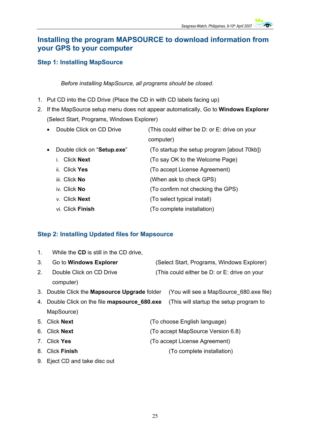## **Installing the program MAPSOURCE to download information from your GPS to your computer**

## **Step 1: Installing MapSource**

### *Before installing MapSource, all programs should be closed.*

- 1. Put CD into the CD Drive (Place the CD in with CD labels facing up)
- 2. If the MapSource setup menu does not appear automatically, Go to **Windows Explorer**  (Select Start, Programs, Windows Explorer)
	- Double Click on CD Drive (This could either be D: or E: drive on your computer) • Double click on "**Setup.exe**" (To startup the setup program [about 70kb]) i. Click **Next** (To say OK to the Welcome Page) ii. Click **Yes** (To accept License Agreement) iii. Click **No** (When ask to check GPS) iv. Click **No** (To confirm not checking the GPS) v. Click **Next** (To select typical install) vi. Click **Finish** (To complete installation)

### **Step 2: Installing Updated files for Mapsource**

| 1. | While the <b>CD</b> is still in the CD drive,        |                                              |  |  |  |  |
|----|------------------------------------------------------|----------------------------------------------|--|--|--|--|
| 3. | Go to Windows Explorer                               | (Select Start, Programs, Windows Explorer)   |  |  |  |  |
| 2. | Double Click on CD Drive                             | (This could either be D: or E: drive on your |  |  |  |  |
|    | computer)                                            |                                              |  |  |  |  |
|    | 3. Double Click the Mapsource Upgrade folder         | (You will see a MapSource 680 exe file)      |  |  |  |  |
|    | 4. Double Click on the file <b>mapsource 680.exe</b> | (This will startup the setup program to      |  |  |  |  |
|    | MapSource)                                           |                                              |  |  |  |  |
|    | 5. Click Next                                        | (To choose English language)                 |  |  |  |  |
|    | 6. Click Next                                        | (To accept MapSource Version 6.8)            |  |  |  |  |
|    | 7. Click Yes                                         | (To accept License Agreement)                |  |  |  |  |
|    | 8. Click Finish                                      | (To complete installation)                   |  |  |  |  |
| 9. | Eject CD and take disc out                           |                                              |  |  |  |  |
|    |                                                      |                                              |  |  |  |  |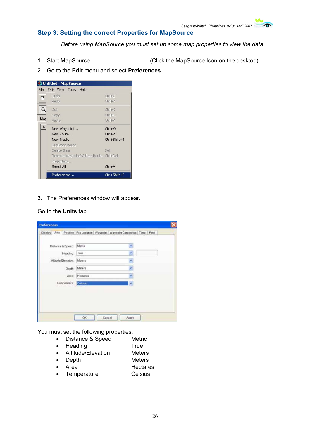$\bullet$ 

### **Step 3: Setting the correct Properties for MapSource**

*Before using MapSource you must set up some map properties to view the data.* 

- 
- 1. Start MapSource (Click the MapSource Icon on the desktop)
- 2. Go to the **Edit** menu and select **Preferences**



3. The Preferences window will appear.

#### Go to the **Units** tab

|                                                   |              | Display Units Position File Location Waypoint Waypoint Categories Time Find |  |    |  |
|---------------------------------------------------|--------------|-----------------------------------------------------------------------------|--|----|--|
|                                                   |              |                                                                             |  |    |  |
| Distance & Speed<br>Heading<br>Alttude/Elevation: |              | Metric                                                                      |  | M) |  |
|                                                   |              | True                                                                        |  | 빏  |  |
|                                                   |              | Meters                                                                      |  | ۳  |  |
|                                                   | Depth:       | <b>Meters</b>                                                               |  | ¥  |  |
|                                                   | Area         | Hectarea                                                                    |  | ۳  |  |
|                                                   | Temperature. | <b>Celsius</b>                                                              |  | w  |  |
|                                                   |              |                                                                             |  |    |  |
|                                                   |              |                                                                             |  |    |  |
|                                                   |              |                                                                             |  |    |  |
|                                                   |              |                                                                             |  |    |  |

You must set the following properties:

- Distance & Speed Metric
- Heading True
- Altitude/Elevation Meters
- Depth Meters
- Area Hectares
- Temperature Celsius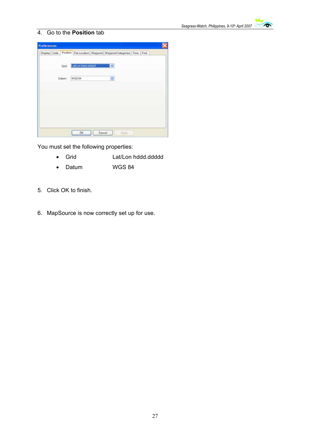#### 4. Go to the **Position** tab

| <b>Preferences</b> |                            | Display Units Position File Location Waypoint Waypoint Categories Time Find |                   |  |  |
|--------------------|----------------------------|-----------------------------------------------------------------------------|-------------------|--|--|
|                    | Grid:                      | Lat/Lon hddd ddddd"                                                         |                   |  |  |
|                    | <b>ANG - TAL</b><br>Datum: | WGS 84                                                                      | ×                 |  |  |
|                    |                            |                                                                             |                   |  |  |
|                    |                            |                                                                             |                   |  |  |
|                    |                            |                                                                             |                   |  |  |
|                    |                            | OK:                                                                         | - Apply<br>Cancel |  |  |

You must set the following properties:

- Grid Lat/Lon hddd.ddddd
- Datum WGS 84
- 5. Click OK to finish.
- 6. MapSource is now correctly set up for use.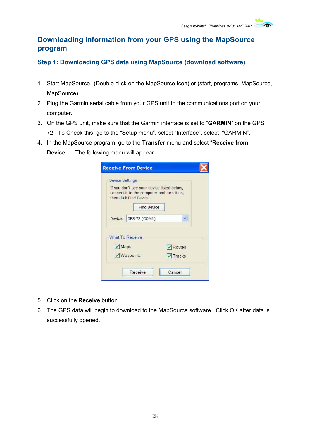## **Downloading information from your GPS using the MapSource program**

## **Step 1: Downloading GPS data using MapSource (download software)**

- 1. Start MapSource (Double click on the MapSource Icon) or (start, programs, MapSource, MapSource)
- 2. Plug the Garmin serial cable from your GPS unit to the communications port on your computer.
- 3. On the GPS unit, make sure that the Garmin interface is set to "**GARMIN**" on the GPS 72. To Check this, go to the "Setup menu", select "Interface", select "GARMIN".
- 4. In the MapSource program, go to the **Transfer** menu and select "**Receive from Device..**". The following menu will appear.

|                      | Device Settings<br>If you don't see your device listed below,<br>connect it to the computer and turn it on,<br>then click Find Device. |
|----------------------|----------------------------------------------------------------------------------------------------------------------------------------|
|                      | <b>Find Device</b>                                                                                                                     |
| Device:              | GPS 72 (COM1)                                                                                                                          |
|                      |                                                                                                                                        |
|                      | What To Receive<br>$\triangleright$ Routes                                                                                             |
| $\triangledown$ Maps |                                                                                                                                        |

- 5. Click on the **Receive** button.
- 6. The GPS data will begin to download to the MapSource software. Click OK after data is successfully opened.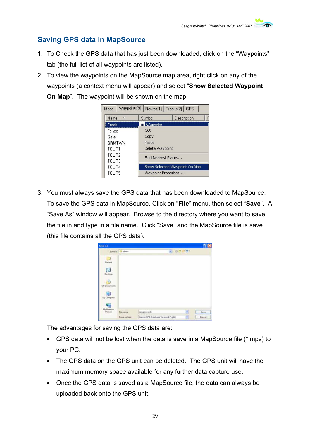## **Saving GPS data in MapSource**

- 1. To Check the GPS data that has just been downloaded, click on the "Waypoints" tab (the full list of all waypoints are listed).
- 2. To view the waypoints on the MapSource map area, right click on any of the waypoints (a context menu will appear) and select "**Show Selected Waypoint On Map**". The waypoint will be shown on the map



3. You must always save the GPS data that has been downloaded to MapSource. To save the GPS data in MapSource, Click on "**File**" menu, then select "**Save**". A "Save As" window will appear. Browse to the directory where you want to save the file in and type in a file name. Click "Save" and the MapSource file is save (this file contains all the GPS data).



The advantages for saving the GPS data are:

- GPS data will not be lost when the data is save in a MapSource file (\*.mps) to your PC.
- The GPS data on the GPS unit can be deleted. The GPS unit will have the maximum memory space available for any further data capture use.
- Once the GPS data is saved as a MapSource file, the data can always be uploaded back onto the GPS unit.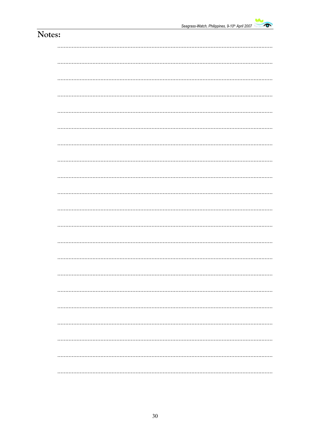## Notes: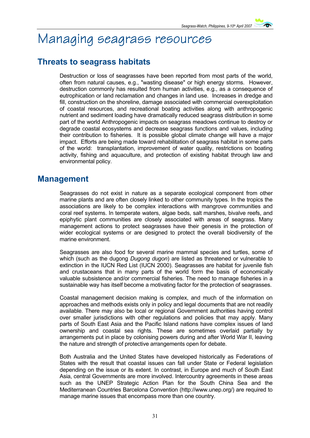# Managing seagrass resources

## **Threats to seagrass habitats**

Destruction or loss of seagrasses have been reported from most parts of the world, often from natural causes, e.g., "wasting disease" or high energy storms. However, destruction commonly has resulted from human activities, e.g., as a consequence of eutrophication or land reclamation and changes in land use. Increases in dredge and fill, construction on the shoreline, damage associated with commercial overexploitation of coastal resources, and recreational boating activities along with anthropogenic nutrient and sediment loading have dramatically reduced seagrass distribution in some part of the world Anthropogenic impacts on seagrass meadows continue to destroy or degrade coastal ecosystems and decrease seagrass functions and values, including their contribution to fisheries. It is possible global climate change will have a major impact. Efforts are being made toward rehabilitation of seagrass habitat in some parts of the world: transplantation, improvement of water quality, restrictions on boating activity, fishing and aquaculture, and protection of existing habitat through law and environmental policy.

## **Management**

Seagrasses do not exist in nature as a separate ecological component from other marine plants and are often closely linked to other community types. In the tropics the associations are likely to be complex interactions with mangrove communities and coral reef systems. In temperate waters, algae beds, salt marshes, bivalve reefs, and epiphytic plant communities are closely associated with areas of seagrass. Many management actions to protect seagrasses have their genesis in the protection of wider ecological systems or are designed to protect the overall biodiversity of the marine environment.

Seagrasses are also food for several marine mammal species and turtles, some of which (such as the dugong *Dugong dugon*) are listed as threatened or vulnerable to extinction in the IUCN Red List (IUCN 2000). Seagrasses are habitat for juvenile fish and crustaceans that in many parts of the world form the basis of economically valuable subsistence and/or commercial fisheries. The need to manage fisheries in a sustainable way has itself become a motivating factor for the protection of seagrasses.

Coastal management decision making is complex, and much of the information on approaches and methods exists only in policy and legal documents that are not readily available. There may also be local or regional Government authorities having control over smaller jurisdictions with other regulations and policies that may apply. Many parts of South East Asia and the Pacific Island nations have complex issues of land ownership and coastal sea rights. These are sometimes overlaid partially by arrangements put in place by colonising powers during and after World War II, leaving the nature and strength of protective arrangements open for debate.

Both Australia and the United States have developed historically as Federations of States with the result that coastal issues can fall under State or Federal legislation depending on the issue or its extent. In contrast, in Europe and much of South East Asia, central Governments are more involved. Intercountry agreements in these areas such as the UNEP Strategic Action Plan for the South China Sea and the Mediterranean Countries Barcelona Convention (http://www.unep.org/) are required to manage marine issues that encompass more than one country.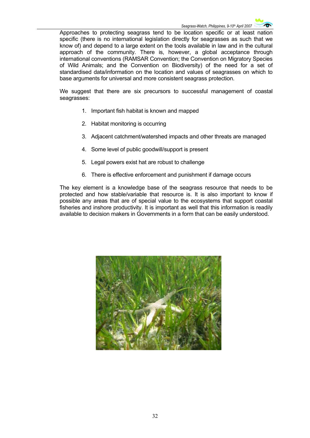Approaches to protecting seagrass tend to be location specific or at least nation specific (there is no international legislation directly for seagrasses as such that we know of) and depend to a large extent on the tools available in law and in the cultural approach of the community. There is, however, a global acceptance through international conventions (RAMSAR Convention; the Convention on Migratory Species of Wild Animals; and the Convention on Biodiversity) of the need for a set of standardised data/information on the location and values of seagrasses on which to base arguments for universal and more consistent seagrass protection.

We suggest that there are six precursors to successful management of coastal seagrasses:

- 1. Important fish habitat is known and mapped
- 2. Habitat monitoring is occurring
- 3. Adjacent catchment/watershed impacts and other threats are managed
- 4. Some level of public goodwill/support is present
- 5. Legal powers exist hat are robust to challenge
- 6. There is effective enforcement and punishment if damage occurs

The key element is a knowledge base of the seagrass resource that needs to be protected and how stable/variable that resource is. It is also important to know if possible any areas that are of special value to the ecosystems that support coastal fisheries and inshore productivity. It is important as well that this information is readily available to decision makers in Governments in a form that can be easily understood.

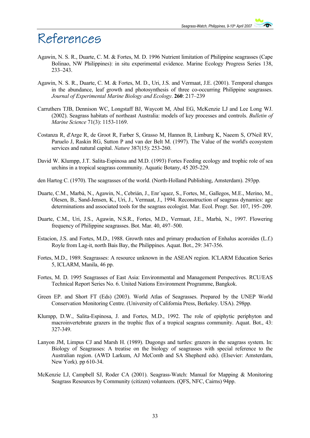# References

- Agawin, N. S. R., Duarte, C. M. & Fortes, M. D. 1996 Nutrient limitation of Philippine seagrasses (Cape Bolinao, NW Philippines): in situ experimental evidence. Marine Ecology Progress Series 138, 233–243.
- Agawin, N. S. R., Duarte, C. M. & Fortes, M. D., Uri, J.S. and Vermaat, J.E. (2001). Temporal changes in the abundance, leaf growth and photosynthesis of three co-occurring Philippine seagrasses. *Journal of Experimental Marine Biology and Ecology*. **260**: 217–239
- Carruthers TJB, Dennison WC, Longstaff BJ, Waycott M, Abal EG, McKenzie LJ and Lee Long WJ. (2002). Seagrass habitats of northeast Australia: models of key processes and controls. *Bulletin of Marine Science* 71(3): 1153-1169.
- Costanza R, d'Arge R, de Groot R, Farber S, Grasso M, Hannon B, Limburg K, Naeem S, O'Neil RV, Paruelo J, Raskin RG, Sutton P and van der Belt M. (1997). The Value of the world's ecosystem services and natural capital. *Nature* 387(15): 253-260.
- David W. Klumpp, J.T. Salita-Espinosa and M.D. (1993) Fortes Feeding ecology and trophic role of sea urchins in a tropical seagrass community. Aquatic Botany, 45 205-229.
- den Hartog C. (1970). The seagrasses of the world. (North-Holland Publishing, Amsterdam). 293pp.
- Duarte, C.M., Marbà, N., Agawin, N., Cebrián, J., Enr´ıquez, S., Fortes, M., Gallegos, M.E., Merino, M., Olesen, B., Sand-Jensen, K., Uri, J., Vermaat, J., 1994. Reconstruction of seagrass dynamics: age determinations and associated tools for the seagrass ecologist. Mar. Ecol. Progr. Ser. 107, 195–209.
- Duarte, C.M., Uri, J.S., Agawin, N.S.R., Fortes, M.D., Vermaat, J.E., Marbà, N., 1997. Flowering frequency of Philippine seagrasses. Bot. Mar. 40, 497–500.
- Estacion, J.S. and Fortes, M.D., 1988. Growth rates and primary production of Enhalus acoroides (L.f.) Royle from Lag-it, north Bais Bay, the Philippines. Aquat. Bot., 29: 347-356.
- Fortes, M.D., 1989. Seagrasses: A resource unknown in the ASEAN region. ICLARM Education Series 5, ICLARM, Manila, 46 pp.
- Fortes, M. D. 1995 Seagrasses of East Asia: Environmental and Management Perspectives. RCU/EAS Technical Report Series No. 6. United Nations Environment Programme, Bangkok.
- Green EP. and Short FT (Eds) (2003). World Atlas of Seagrasses. Prepared by the UNEP World Conservation Monitoring Centre. (University of California Press, Berkeley. USA). 298pp.
- Klumpp, D.W., Salita-Espinosa, J. and Fortes, M.D., 1992. The role of epiphytic periphyton and macroinvertebrate grazers in the trophic flux of a tropical seagrass community. Aquat. Bot., 43: 327-349.
- Lanyon JM, Limpus CJ and Marsh H. (1989). Dugongs and turtles: grazers in the seagrass system. In: Biology of Seagrasses: A treatise on the biology of seagrasses with special reference to the Australian region. (AWD Larkum, AJ McComb and SA Shepherd eds). (Elsevier: Amsterdam, New York). pp 610-34.
- McKenzie LJ, Campbell SJ, Roder CA (2001). Seagrass-Watch: Manual for Mapping & Monitoring Seagrass Resources by Community (citizen) volunteers. (QFS, NFC, Cairns) 94pp.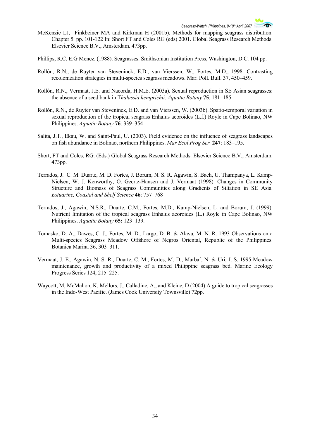- McKenzie LJ, Finkbeiner MA and Kirkman H (2001b). Methods for mapping seagrass distribution. Chapter 5 pp. 101-122 In: Short FT and Coles RG (eds) 2001. Global Seagrass Research Methods. Elsevier Science B.V., Amsterdam. 473pp.
- Phillips, R.C, E.G Menez. (1988). Seagrasses. Smithsonian Institution Press, Washington, D.C. 104 pp.
- Rollón, R.N., de Ruyter van Steveninck, E.D., van Vierssen, W., Fortes, M.D., 1998. Contrasting recolonization strategies in multi-species seagrass meadows. Mar. Poll. Bull. 37, 450–459.
- Rollón, R.N., Vermaat, J.E. and Nacorda, H.M.E. (2003a). Sexual reproduction in SE Asian seagrasses: the absence of a seed bank in T*halassia hemprichii*. *Aquatic Botany* **75**: 181–185
- Rollón, R.N., de Ruyter van Steveninck, E.D. and van Vierssen, W. (2003b). Spatio-temporal variation in sexual reproduction of the tropical seagrass Enhalus acoroides (L.f.) Royle in Cape Bolinao, NW Philippines. *Aquatic Botany* **76**: 339–354
- Salita, J.T., Ekau, W. and Saint-Paul, U. (2003). Field evidence on the influence of seagrass landscapes on fish abundance in Bolinao, northern Philippines. *Mar Ecol Prog Ser* **247**: 183–195.
- Short, FT and Coles, RG. (Eds.) Global Seagrass Research Methods. Elsevier Science B.V., Amsterdam. 473pp.
- Terrados, J. C. M. Duarte, M. D. Fortes, J. Borum, N. S. R. Agawin, S. Bach, U. Thampanya, L. Kamp-Nielsen, W. J. Kenworthy, O. Geertz-Hansen and J. Vermaat (1998). Changes in Community Structure and Biomass of Seagrass Communities along Gradients of Siltation in SE Asia. *Estuarine, Coastal and Shelf Science* **46**: 757–768
- Terrados, J., Agawin, N.S.R., Duarte, C.M., Fortes, M.D., Kamp-Nielsen, L. and Borum, J. (1999). Nutrient limitation of the tropical seagrass Enhalus acoroides (L.) Royle in Cape Bolinao, NW Philippines. *Aquatic Botany* **65:** 123–139.
- Tomasko, D. A., Dawes, C. J., Fortes, M. D., Largo, D. B. & Alava, M. N. R. 1993 Observations on a Multi-species Seagrass Meadow Offshore of Negros Oriental, Republic of the Philippines. Botanica Marina 36, 303–311.
- Vermaat, J. E., Agawin, N. S. R., Duarte, C. M., Fortes, M. D., Marba´, N. & Uri, J. S. 1995 Meadow maintenance, growth and productivity of a mixed Philippine seagrass bed. Marine Ecology Progress Series 124, 215–225.
- Waycott, M, McMahon, K, Mellors, J., Calladine, A., and Kleine, D (2004) A guide to tropical seagrasses in the Indo-West Pacific. (James Cook University Townsville) 72pp.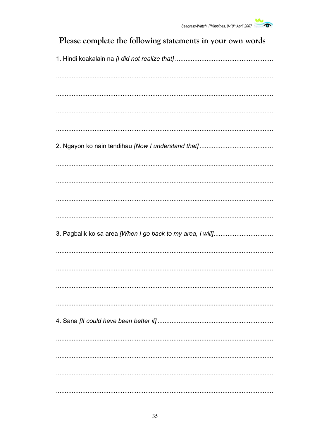# Please complete the following statements in your own words